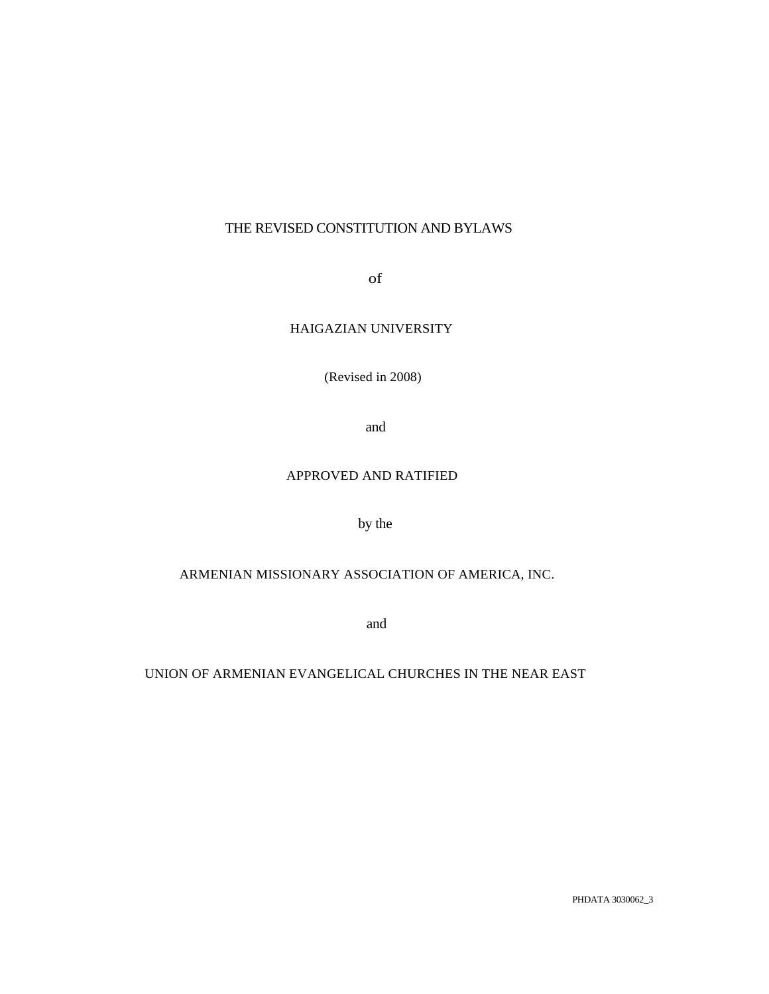# THE REVISED CONSTITUTION AND BYLAWS

of

## HAIGAZIAN UNIVERSITY

(Revised in 2008)

and

## APPROVED AND RATIFIED

by the

# ARMENIAN MISSIONARY ASSOCIATION OF AMERICA, INC.

and

UNION OF ARMENIAN EVANGELICAL CHURCHES IN THE NEAR EAST

PHDATA 3030062\_3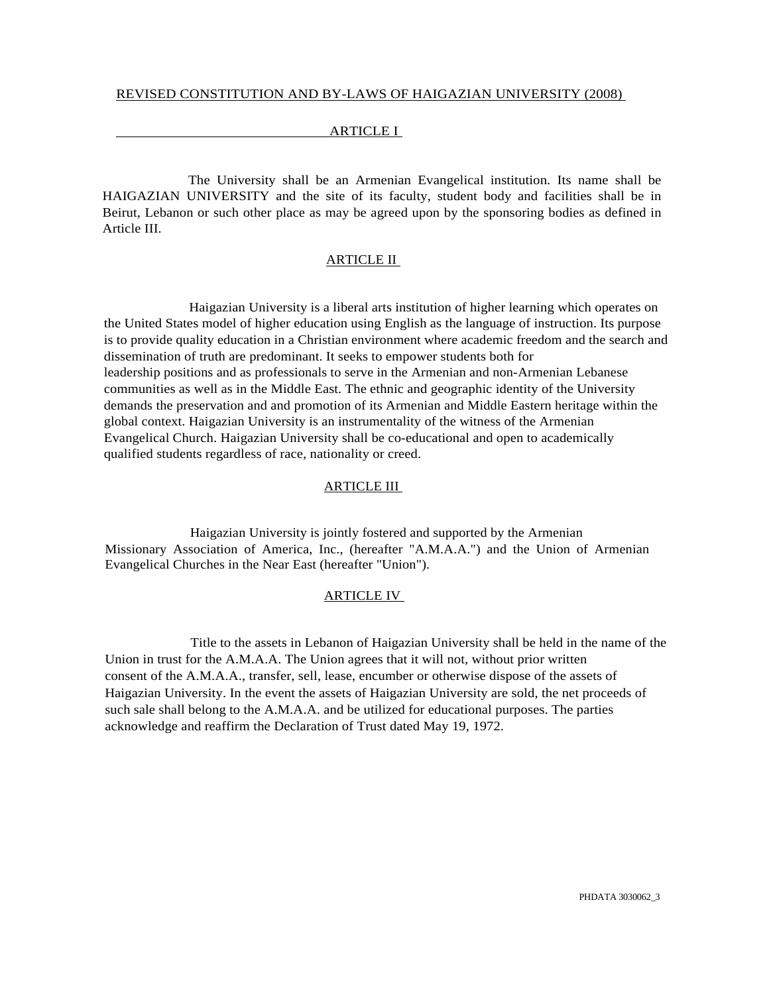### ARTICLE I

The University shall be an Armenian Evangelical institution. Its name shall be HAIGAZIAN UNIVERSITY and the site of its faculty, student body and facilities shall be in Beirut, Lebanon or such other place as may be agreed upon by the sponsoring bodies as defined in Article III.

### ARTICLE II

Haigazian University is a liberal arts institution of higher learning which operates on the United States model of higher education using English as the language of instruction. Its purpose is to provide quality education in a Christian environment where academic freedom and the search and dissemination of truth are predominant. It seeks to empower students both for leadership positions and as professionals to serve in the Armenian and non-Armenian Lebanese communities as well as in the Middle East. The ethnic and geographic identity of the University demands the preservation and and promotion of its Armenian and Middle Eastern heritage within the global context. Haigazian University is an instrumentality of the witness of the Armenian Evangelical Church. Haigazian University shall be co-educational and open to academically qualified students regardless of race, nationality or creed.

#### ARTICLE III

Haigazian University is jointly fostered and supported by the Armenian Missionary Association of America, Inc., (hereafter "A.M.A.A.") and the Union of Armenian Evangelical Churches in the Near East (hereafter "Union").

#### ARTICLE IV

Title to the assets in Lebanon of Haigazian University shall be held in the name of the Union in trust for the A.M.A.A. The Union agrees that it will not, without prior written consent of the A.M.A.A., transfer, sell, lease, encumber or otherwise dispose of the assets of Haigazian University. In the event the assets of Haigazian University are sold, the net proceeds of such sale shall belong to the A.M.A.A. and be utilized for educational purposes. The parties acknowledge and reaffirm the Declaration of Trust dated May 19, 1972.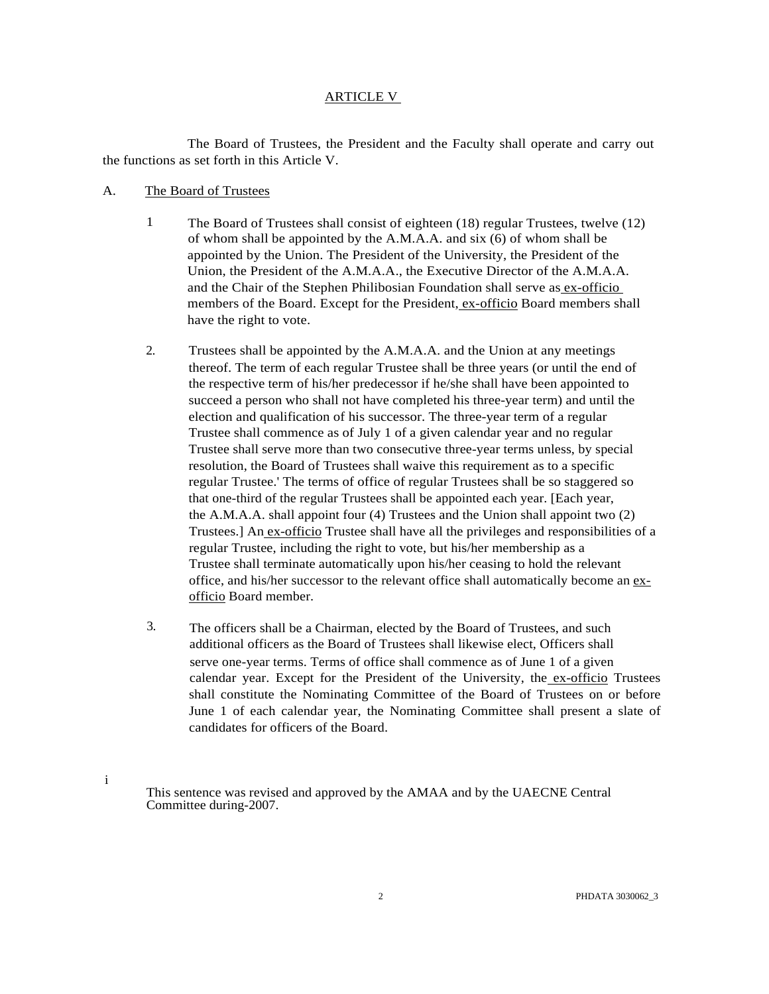### ARTICLE V

The Board of Trustees, the President and the Faculty shall operate and carry out the functions as set forth in this Article V.

#### A. The Board of Trustees

i

- 1 The Board of Trustees shall consist of eighteen (18) regular Trustees, twelve (12) of whom shall be appointed by the A.M.A.A. and six (6) of whom shall be appointed by the Union. The President of the University, the President of the Union, the President of the A.M.A.A., the Executive Director of the A.M.A.A. and the Chair of the Stephen Philibosian Foundation shall serve as ex-officio members of the Board. Except for the President, ex-officio Board members shall have the right to vote.
- 2. Trustees shall be appointed by the A.M.A.A. and the Union at any meetings thereof. The term of each regular Trustee shall be three years (or until the end of the respective term of his/her predecessor if he/she shall have been appointed to succeed a person who shall not have completed his three-year term) and until the election and qualification of his successor. The three-year term of a regular Trustee shall commence as of July 1 of a given calendar year and no regular Trustee shall serve more than two consecutive three-year terms unless, by special resolution, the Board of Trustees shall waive this requirement as to a specific regular Trustee.' The terms of office of regular Trustees shall be so staggered so that one-third of the regular Trustees shall be appointed each year. [Each year, the A.M.A.A. shall appoint four (4) Trustees and the Union shall appoint two (2) Trustees.] An ex-officio Trustee shall have all the privileges and responsibilities of a regular Trustee, including the right to vote, but his/her membership as a Trustee shall terminate automatically upon his/her ceasing to hold the relevant office, and his/her successor to the relevant office shall automatically become an exofficio Board member.
- 3. The officers shall be a Chairman, elected by the Board of Trustees, and such additional officers as the Board of Trustees shall likewise elect, Officers shall serve one-year terms. Terms of office shall commence as of June 1 of a given calendar year. Except for the President of the University, the ex-officio Trustees shall constitute the Nominating Committee of the Board of Trustees on or before June 1 of each calendar year, the Nominating Committee shall present a slate of candidates for officers of the Board.

This sentence was revised and approved by the AMAA and by the UAECNE Central Committee during-2007.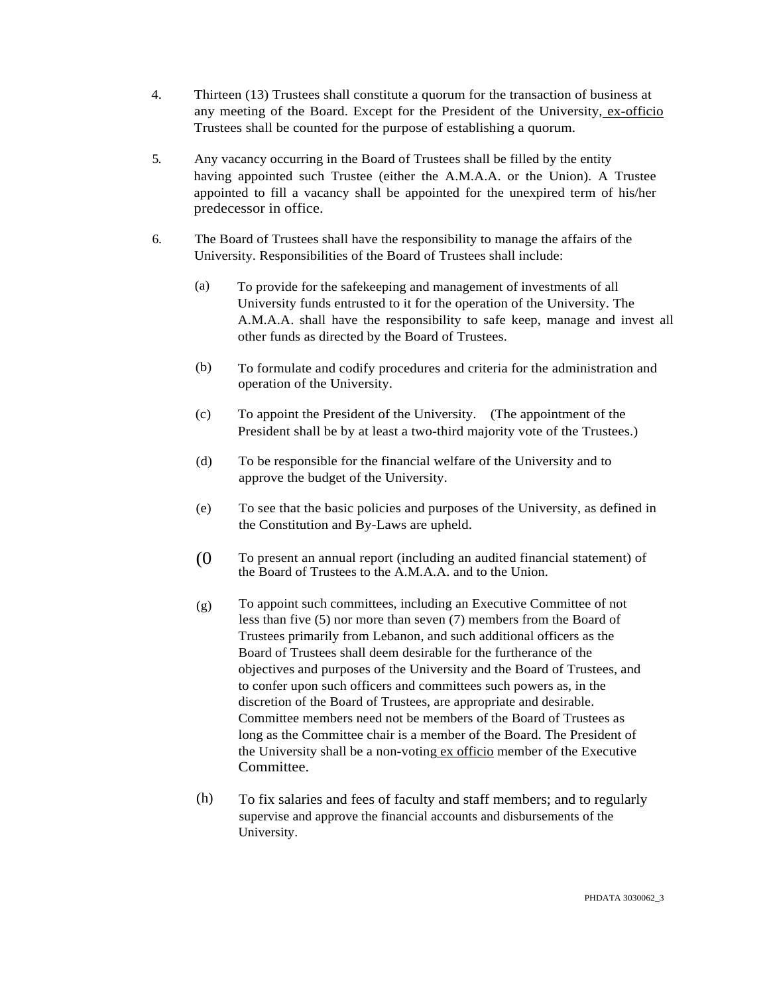- 4. Thirteen (13) Trustees shall constitute a quorum for the transaction of business at any meeting of the Board. Except for the President of the University, ex-officio Trustees shall be counted for the purpose of establishing a quorum.
- 5. Any vacancy occurring in the Board of Trustees shall be filled by the entity having appointed such Trustee (either the A.M.A.A. or the Union). A Trustee appointed to fill a vacancy shall be appointed for the unexpired term of his/her predecessor in office.
- 6. The Board of Trustees shall have the responsibility to manage the affairs of the University. Responsibilities of the Board of Trustees shall include:
	- (a) To provide for the safekeeping and management of investments of all University funds entrusted to it for the operation of the University. The A.M.A.A. shall have the responsibility to safe keep, manage and invest all other funds as directed by the Board of Trustees.
	- (b) To formulate and codify procedures and criteria for the administration and operation of the University.
	- (c) To appoint the President of the University. (The appointment of the President shall be by at least a two-third majority vote of the Trustees.)
	- (d) To be responsible for the financial welfare of the University and to approve the budget of the University.
	- (e) To see that the basic policies and purposes of the University, as defined in the Constitution and By-Laws are upheld.
	- (0 To present an annual report (including an audited financial statement) of the Board of Trustees to the A.M.A.A. and to the Union.
	- (g) To appoint such committees, including an Executive Committee of not less than five (5) nor more than seven (7) members from the Board of Trustees primarily from Lebanon, and such additional officers as the Board of Trustees shall deem desirable for the furtherance of the objectives and purposes of the University and the Board of Trustees, and to confer upon such officers and committees such powers as, in the discretion of the Board of Trustees, are appropriate and desirable. Committee members need not be members of the Board of Trustees as long as the Committee chair is a member of the Board. The President of the University shall be a non-voting ex officio member of the Executive Committee.
	- (h) To fix salaries and fees of faculty and staff members; and to regularly supervise and approve the financial accounts and disbursements of the University.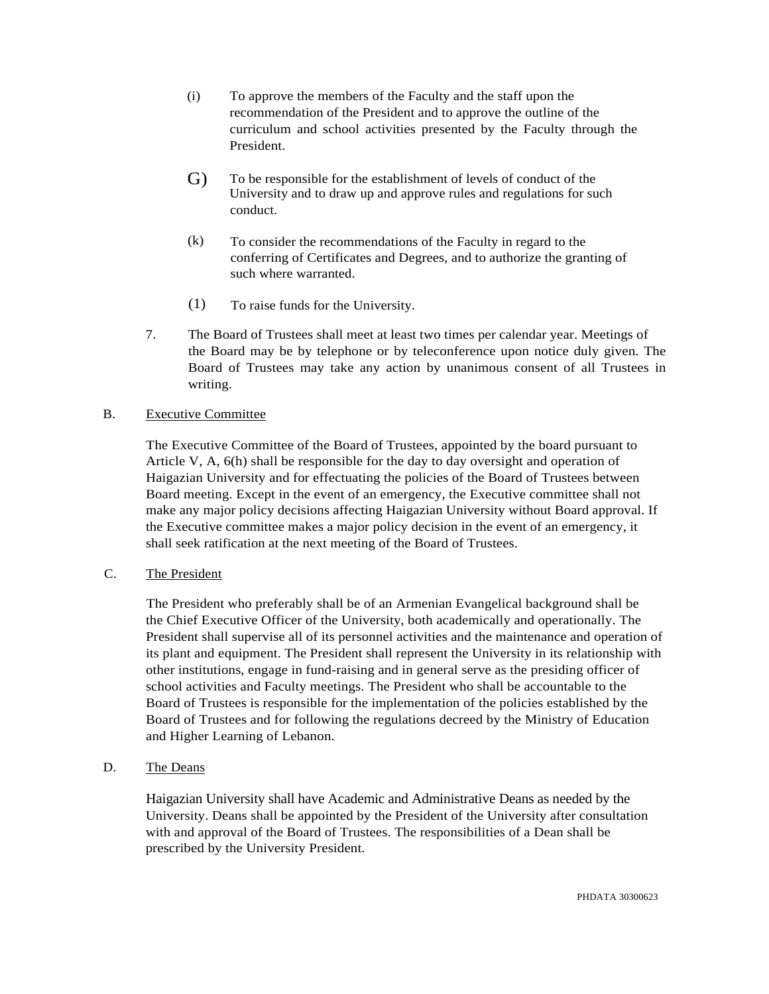- (i) To approve the members of the Faculty and the staff upon the recommendation of the President and to approve the outline of the curriculum and school activities presented by the Faculty through the President.
- G) To be responsible for the establishment of levels of conduct of the University and to draw up and approve rules and regulations for such conduct.
- (k) To consider the recommendations of the Faculty in regard to the conferring of Certificates and Degrees, and to authorize the granting of such where warranted.
- (1) To raise funds for the University.
- 7. The Board of Trustees shall meet at least two times per calendar year. Meetings of the Board may be by telephone or by teleconference upon notice duly given. The Board of Trustees may take any action by unanimous consent of all Trustees in writing.

## B. Executive Committee

The Executive Committee of the Board of Trustees, appointed by the board pursuant to Article V, A, 6(h) shall be responsible for the day to day oversight and operation of Haigazian University and for effectuating the policies of the Board of Trustees between Board meeting. Except in the event of an emergency, the Executive committee shall not make any major policy decisions affecting Haigazian University without Board approval. If the Executive committee makes a major policy decision in the event of an emergency, it shall seek ratification at the next meeting of the Board of Trustees.

## C. The President

The President who preferably shall be of an Armenian Evangelical background shall be the Chief Executive Officer of the University, both academically and operationally. The President shall supervise all of its personnel activities and the maintenance and operation of its plant and equipment. The President shall represent the University in its relationship with other institutions, engage in fund-raising and in general serve as the presiding officer of school activities and Faculty meetings. The President who shall be accountable to the Board of Trustees is responsible for the implementation of the policies established by the Board of Trustees and for following the regulations decreed by the Ministry of Education and Higher Learning of Lebanon.

## D. The Deans

Haigazian University shall have Academic and Administrative Deans as needed by the University. Deans shall be appointed by the President of the University after consultation with and approval of the Board of Trustees. The responsibilities of a Dean shall be prescribed by the University President.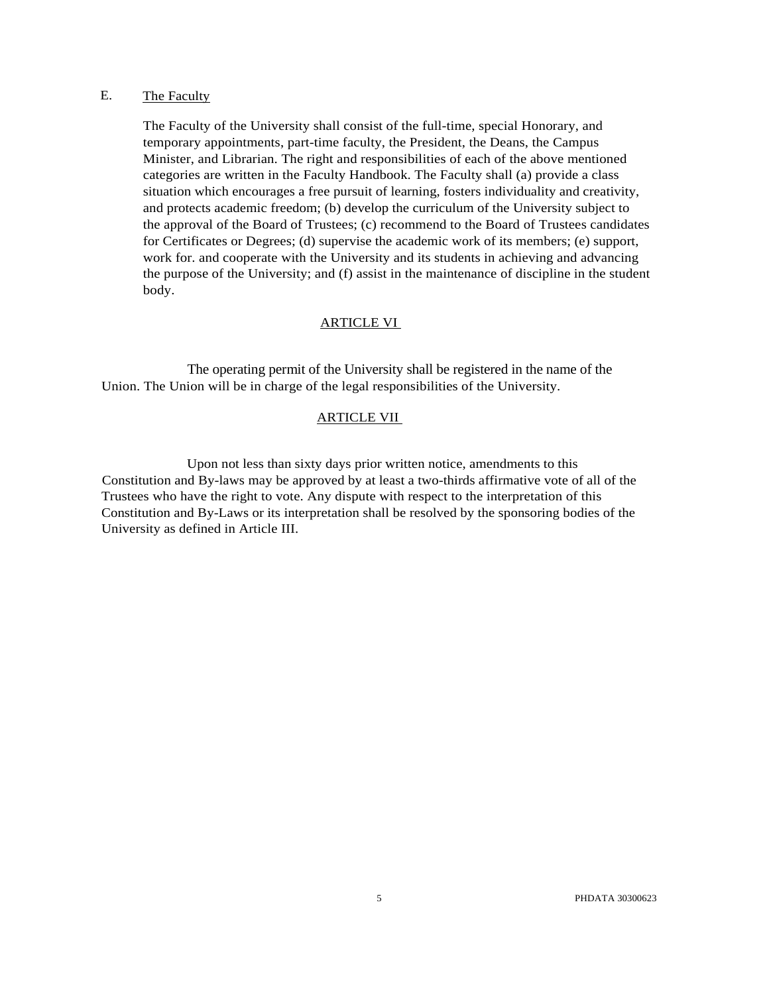### E. The Faculty

The Faculty of the University shall consist of the full-time, special Honorary, and temporary appointments, part-time faculty, the President, the Deans, the Campus Minister, and Librarian. The right and responsibilities of each of the above mentioned categories are written in the Faculty Handbook. The Faculty shall (a) provide a class situation which encourages a free pursuit of learning, fosters individuality and creativity, and protects academic freedom; (b) develop the curriculum of the University subject to the approval of the Board of Trustees; (c) recommend to the Board of Trustees candidates for Certificates or Degrees; (d) supervise the academic work of its members; (e) support, work for. and cooperate with the University and its students in achieving and advancing the purpose of the University; and (f) assist in the maintenance of discipline in the student body.

#### ARTICLE VI

The operating permit of the University shall be registered in the name of the Union. The Union will be in charge of the legal responsibilities of the University.

#### ARTICLE VII

Upon not less than sixty days prior written notice, amendments to this Constitution and By-laws may be approved by at least a two-thirds affirmative vote of all of the Trustees who have the right to vote. Any dispute with respect to the interpretation of this Constitution and By-Laws or its interpretation shall be resolved by the sponsoring bodies of the University as defined in Article III.